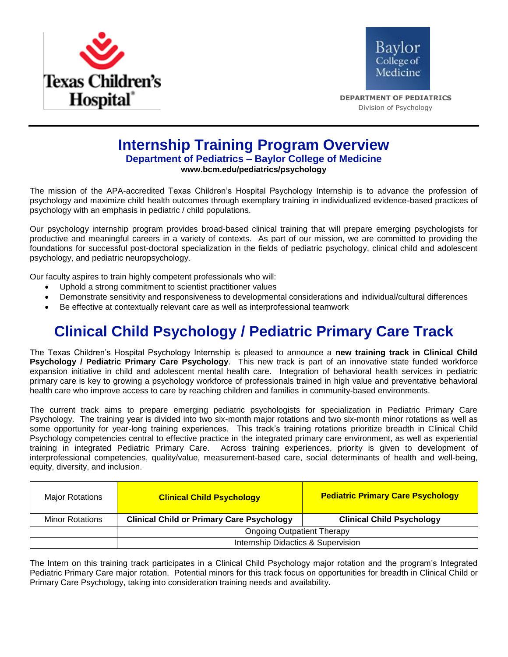



 **DEPARTMENT OF PEDIATRICS** Division of Psychology

## **Internship Training Program Overview Department of Pediatrics – Baylor College of Medicine www.bcm.edu/pediatrics/psychology**

The mission of the APA-accredited Texas Children's Hospital Psychology Internship is to advance the profession of psychology and maximize child health outcomes through exemplary training in individualized evidence-based practices of psychology with an emphasis in pediatric / child populations.

Our psychology internship program provides broad-based clinical training that will prepare emerging psychologists for productive and meaningful careers in a variety of contexts. As part of our mission, we are committed to providing the foundations for successful post-doctoral specialization in the fields of pediatric psychology, clinical child and adolescent psychology, and pediatric neuropsychology.

Our faculty aspires to train highly competent professionals who will:

- Uphold a strong commitment to scientist practitioner values
- Demonstrate sensitivity and responsiveness to developmental considerations and individual/cultural differences
- Be effective at contextually relevant care as well as interprofessional teamwork

# **Clinical Child Psychology / Pediatric Primary Care Track**

The Texas Children's Hospital Psychology Internship is pleased to announce a **new training track in Clinical Child Psychology / Pediatric Primary Care Psychology**. This new track is part of an innovative state funded workforce expansion initiative in child and adolescent mental health care. Integration of behavioral health services in pediatric primary care is key to growing a psychology workforce of professionals trained in high value and preventative behavioral health care who improve access to care by reaching children and families in community-based environments.

The current track aims to prepare emerging pediatric psychologists for specialization in Pediatric Primary Care Psychology. The training year is divided into two six-month major rotations and two six-month minor rotations as well as some opportunity for year-long training experiences. This track's training rotations prioritize breadth in Clinical Child Psychology competencies central to effective practice in the integrated primary care environment, as well as experiential training in integrated Pediatric Primary Care. Across training experiences, priority is given to development of interprofessional competencies, quality/value, measurement-based care, social determinants of health and well-being, equity, diversity, and inclusion.

| <b>Major Rotations</b> | <b>Clinical Child Psychology</b>                 | <b>Pediatric Primary Care Psychology</b> |
|------------------------|--------------------------------------------------|------------------------------------------|
| <b>Minor Rotations</b> | <b>Clinical Child or Primary Care Psychology</b> | <b>Clinical Child Psychology</b>         |
|                        | <b>Ongoing Outpatient Therapy</b>                |                                          |
|                        | Internship Didactics & Supervision               |                                          |

The Intern on this training track participates in a Clinical Child Psychology major rotation and the program's Integrated Pediatric Primary Care major rotation. Potential minors for this track focus on opportunities for breadth in Clinical Child or Primary Care Psychology, taking into consideration training needs and availability.